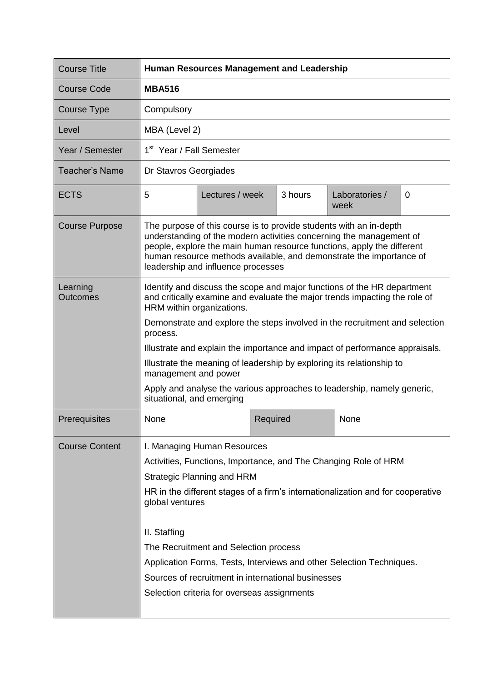| <b>Course Title</b>         | <b>Human Resources Management and Leadership</b>                                                                                                                                                                                                                                                                                                                                                                                                                                                                                                                      |                 |          |         |                        |   |  |
|-----------------------------|-----------------------------------------------------------------------------------------------------------------------------------------------------------------------------------------------------------------------------------------------------------------------------------------------------------------------------------------------------------------------------------------------------------------------------------------------------------------------------------------------------------------------------------------------------------------------|-----------------|----------|---------|------------------------|---|--|
| <b>Course Code</b>          | <b>MBA516</b>                                                                                                                                                                                                                                                                                                                                                                                                                                                                                                                                                         |                 |          |         |                        |   |  |
| Course Type                 | Compulsory                                                                                                                                                                                                                                                                                                                                                                                                                                                                                                                                                            |                 |          |         |                        |   |  |
| Level                       | MBA (Level 2)                                                                                                                                                                                                                                                                                                                                                                                                                                                                                                                                                         |                 |          |         |                        |   |  |
| Year / Semester             | 1 <sup>st</sup> Year / Fall Semester                                                                                                                                                                                                                                                                                                                                                                                                                                                                                                                                  |                 |          |         |                        |   |  |
| <b>Teacher's Name</b>       | Dr Stavros Georgiades                                                                                                                                                                                                                                                                                                                                                                                                                                                                                                                                                 |                 |          |         |                        |   |  |
| <b>ECTS</b>                 | 5                                                                                                                                                                                                                                                                                                                                                                                                                                                                                                                                                                     | Lectures / week |          | 3 hours | Laboratories /<br>week | 0 |  |
| <b>Course Purpose</b>       | The purpose of this course is to provide students with an in-depth<br>understanding of the modern activities concerning the management of<br>people, explore the main human resource functions, apply the different<br>human resource methods available, and demonstrate the importance of<br>leadership and influence processes                                                                                                                                                                                                                                      |                 |          |         |                        |   |  |
| Learning<br><b>Outcomes</b> | Identify and discuss the scope and major functions of the HR department<br>and critically examine and evaluate the major trends impacting the role of<br>HRM within organizations.<br>Demonstrate and explore the steps involved in the recruitment and selection<br>process.<br>Illustrate and explain the importance and impact of performance appraisals.<br>Illustrate the meaning of leadership by exploring its relationship to<br>management and power<br>Apply and analyse the various approaches to leadership, namely generic,<br>situational, and emerging |                 |          |         |                        |   |  |
| Prerequisites               | None                                                                                                                                                                                                                                                                                                                                                                                                                                                                                                                                                                  |                 | Required |         | None                   |   |  |
| <b>Course Content</b>       | I. Managing Human Resources<br>Activities, Functions, Importance, and The Changing Role of HRM<br><b>Strategic Planning and HRM</b><br>HR in the different stages of a firm's internationalization and for cooperative<br>global ventures<br>II. Staffing<br>The Recruitment and Selection process<br>Application Forms, Tests, Interviews and other Selection Techniques.<br>Sources of recruitment in international businesses<br>Selection criteria for overseas assignments                                                                                       |                 |          |         |                        |   |  |